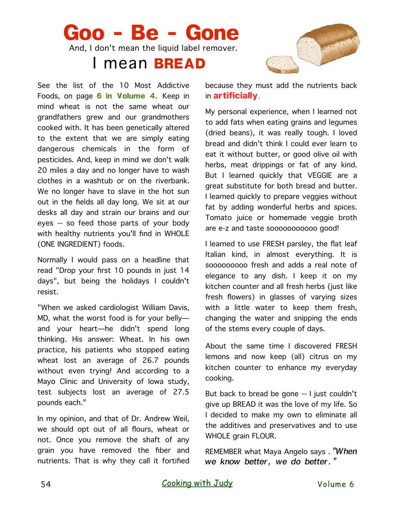## **Goo - Be - Gone** And, I don't mean the liquid label remover. I mean **BREAD**

See the list of the 10 Most Addictive Foods, on page **6 in Volume 4**. Keep in mind wheat is not the same wheat our grandfathers grew and our grandmothers cooked with. It has been genetically altered to the extent that we are simply eating dangerous chemicals in the form of pesticides. And, keep in mind we don't walk 20 miles a day and no longer have to wash clothes in a washtub or on the riverbank. We no longer have to slave in the hot sun out in the fields all day long. We sit at our desks all day and strain our brains and our eyes -- so feed those parts of your body with healthy nutrients you'll find in WHOLE (ONE INGREDIENT) foods.

Normally I would pass on a headline that read "Drop your first 10 pounds in just 14 days", but being the holidays I couldn't resist.

"When we asked cardiologist William Davis, MD, what the worst food is for your belly and your heart—he didn't spend long thinking. His answer: Wheat. In his own practice, his patients who stopped eating wheat lost an average of 26.7 pounds without even trying! And according to a Mayo Clinic and University of Iowa study, test subjects lost an average of 27.5 pounds each."

In my opinion, and that of Dr. Andrew Weil, we should opt out of all flours, wheat or not. Once you remove the shaft of any grain you have removed the fiber and nutrients. That is why they call it fortified

because they must add the nutrients back in **artificially**.

My personal experience, when I learned not to add fats when eating grains and legumes (dried beans), it was really tough. I loved bread and didn't think I could ever learn to eat it without butter, or good olive oil with herbs, meat drippings or fat of any kind. But I learned quickly that VEGGIE are a great substitute for both bread and butter. I learned quickly to prepare veggies without fat by adding wonderful herbs and spices. Tomato juice or homemade veggie broth are e-z and taste sooooooooooo good!

I learned to use FRESH parsley, the flat leaf Italian kind, in almost everything. It is sooooooooo fresh and adds a real note of elegance to any dish. I keep it on my kitchen counter and all fresh herbs (just like fresh flowers) in glasses of varying sizes with a little water to keep them fresh, changing the water and snipping the ends of the stems every couple of days.

About the same time I discovered FRESH lemons and now keep (all) citrus on my kitchen counter to enhance my everyday cooking.

But back to bread be gone -- I just couldn't give up BREAD it was the love of my life. So I decided to make my own to eliminate all the additives and preservatives and to use WHOLE grain FLOUR.

REMEMBER what Maya Angelo says . *"When we know better, we do better."*